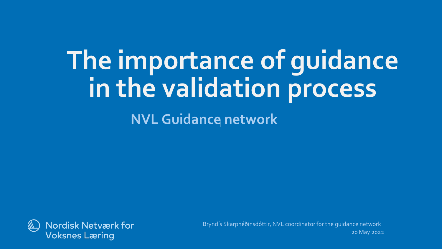## **The importance of guidance in the validation process**

**NVL Guidance network** 



20 May 2022 Bryndís Skarphéðinsdóttir, NVL coordinator for the guidance network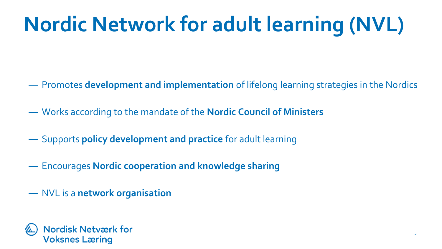## **Nordic Network for adult learning (NVL)**

- ― Promotes **development and implementation** of lifelong learning strategies in the Nordics
- ― Works according to the mandate of the **Nordic Council of Ministers**
- ― Supports **policy development and practice** for adult learning
- ― Encourages **Nordic cooperation and knowledge sharing**
- ― NVL is a **network organisation**

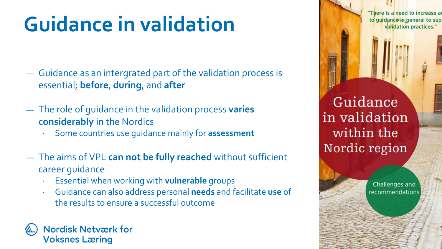### **Guidance in validation**

- ― Guidance as an intergrated part of the validation process is essential; **before**, **during**, and **after**
- ― The role of guidance in the validation process **varies considerably** in the Nordics
	- ∙ Some countries use guidance mainly for **assessment**
- ― The aims of VPL **can not be fully reached** without sufficient career guidance
	- ∙ Essential when working with **vulnerable** groups
	- ∙ Guidance can also address personal **needs** and facilitate **use** of the results to ensure a successful outcome

#### **Nordisk Netværk for Voksnes Læring**

"There is a need to increase a to guidance in general to sup validation practices."

Guidance in validation within the Nordic region

> Challenges and recommendations

> > 3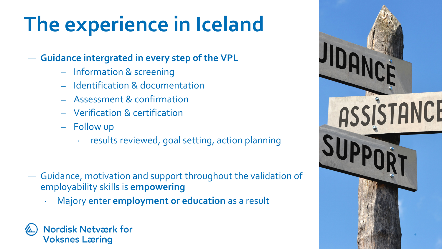### **The experience in Iceland**

#### ― **Guidance intergrated in every step of the VPL**

- ‒ Information & screening
- ‒ Identification & documentation
- ‒ Assessment & confirmation
- ‒ Verification & certification
- Follow up
	- ∙ results reviewed, goal setting, action planning
- ― Guidance, motivation and support throughout the validation of employability skills is **empowering**
	- ∙ Majory enter **employment or education** as a result

#### **Nordisk Netværk for Voksnes Læring**

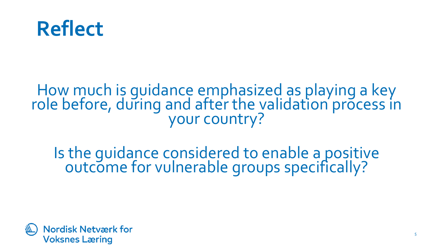

#### How much is guidance emphasized as playing a key role before, during and after the validation process in<br>your country?

Is the guidance considered to enable a positive outcome for vulnerable groups specifically?